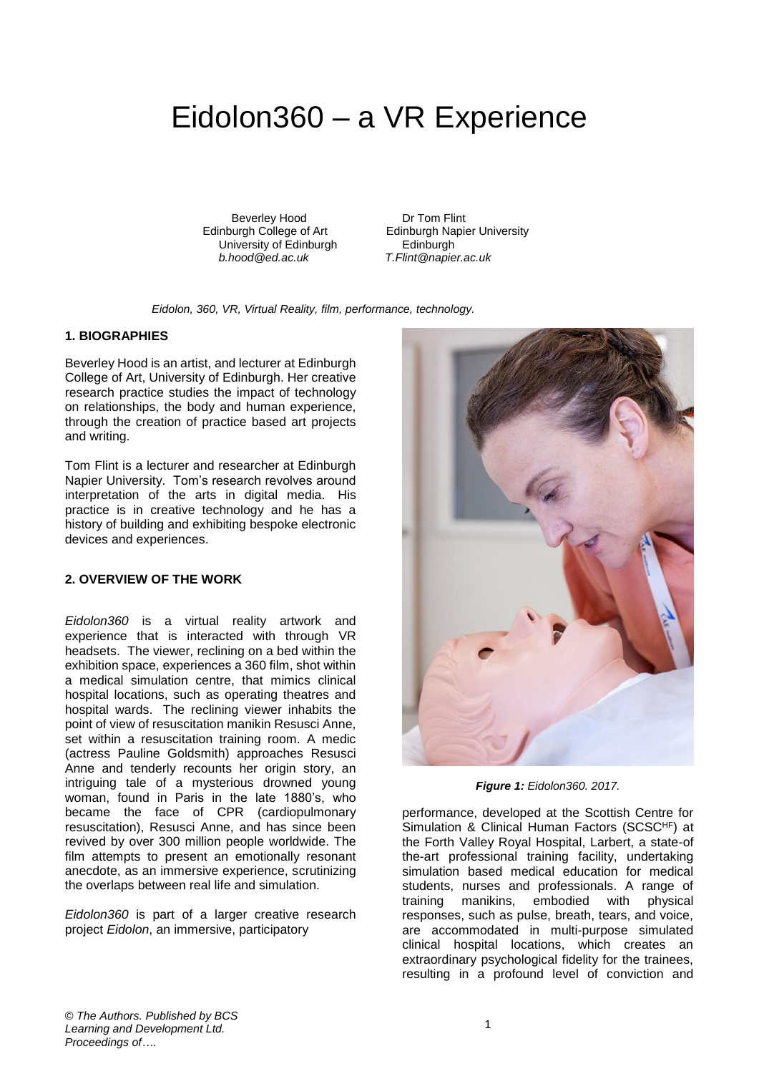## Eidolon360 – a VR Experience

Beverley Hood Dr Tom Flint<br>Edinburgh College of Art Edinburgh Napie University of Edinburgh<br>b.hood@ed.ac.uk

Edinburgh Napier University<br>Edinburgh *b.hood@ed.ac.uk T.Flint@napier.ac.uk*

*Eidolon, 360, VR, Virtual Reality, film, performance, technology.*

## **1. BIOGRAPHIES**

Beverley Hood is an artist, and lecturer at Edinburgh College of Art, University of Edinburgh. Her creative research practice studies the impact of technology on relationships, the body and human experience, through the creation of practice based art projects and writing.

Tom Flint is a lecturer and researcher at Edinburgh Napier University. Tom's research revolves around interpretation of the arts in digital media. His practice is in creative technology and he has a history of building and exhibiting bespoke electronic devices and experiences.

## **2. OVERVIEW OF THE WORK**

*Eidolon360* is a virtual reality artwork and experience that is interacted with through VR headsets. The viewer, reclining on a bed within the exhibition space, experiences a 360 film, shot within a medical simulation centre, that mimics clinical hospital locations, such as operating theatres and hospital wards. The reclining viewer inhabits the point of view of resuscitation manikin Resusci Anne, set within a resuscitation training room. A medic (actress Pauline Goldsmith) approaches Resusci Anne and tenderly recounts her origin story, an intriguing tale of a mysterious drowned young woman, found in Paris in the late 1880's, who became the face of CPR (cardiopulmonary resuscitation), Resusci Anne, and has since been revived by over 300 million people worldwide. The film attempts to present an emotionally resonant anecdote, as an immersive experience, scrutinizing the overlaps between real life and simulation.

*Eidolon360* is part of a larger creative research project *Eidolon*, an immersive, participatory



*Figure 1: Eidolon360. 2017.*

performance, developed at the Scottish Centre for Simulation & Clinical Human Factors (SCSCHF) at the Forth Valley Royal Hospital, Larbert, a state-of the-art professional training facility, undertaking simulation based medical education for medical students, nurses and professionals. A range of training manikins, embodied with physical responses, such as pulse, breath, tears, and voice, are accommodated in multi-purpose simulated clinical hospital locations, which creates an extraordinary psychological fidelity for the trainees, resulting in a profound level of conviction and